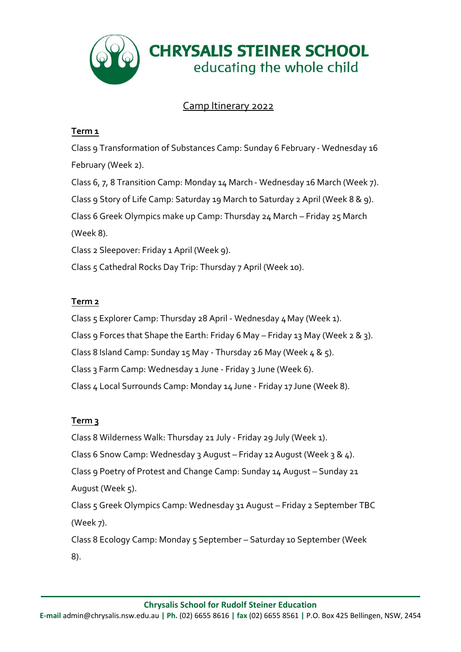

# Camp Itinerary 2022

### **Term 1**

Class 9 Transformation of Substances Camp: Sunday 6 February - Wednesday 16 February (Week 2). Class 6, 7, 8 Transition Camp: Monday 14 March - Wednesday 16 March (Week 7). Class 9 Story of Life Camp: Saturday 19 March to Saturday 2 April (Week 8 & 9). Class 6 Greek Olympics make up Camp: Thursday 24 March – Friday 25 March (Week 8). Class 2 Sleepover: Friday 1 April (Week 9). Class 5 Cathedral Rocks Day Trip: Thursday 7 April (Week 10).

### **Term 2**

Class 5 Explorer Camp: Thursday 28 April - Wednesday 4May (Week 1).

Class 9 Forces that Shape the Earth: Friday 6 May – Friday 13 May (Week 2 & 3).

Class 8 Island Camp: Sunday 15 May - Thursday 26 May (Week  $4 \& 5$ ).

Class 3 Farm Camp: Wednesday 1 June - Friday 3 June (Week 6).

Class 4 Local Surrounds Camp: Monday 14 June - Friday 17 June (Week 8).

## **Term 3**

Class 8 Wilderness Walk: Thursday 21 July - Friday 29 July (Week 1). Class 6 Snow Camp: Wednesday 3 August – Friday 12August (Week 3 & 4). Class 9 Poetry of Protest and Change Camp: Sunday 14 August – Sunday 21 August (Week 5). Class 5 Greek Olympics Camp: Wednesday 31 August – Friday 2 September TBC (Week 7).

Class 8 Ecology Camp: Monday 5 September – Saturday 10 September (Week 8).

**Chrysalis School for Rudolf Steiner Education**